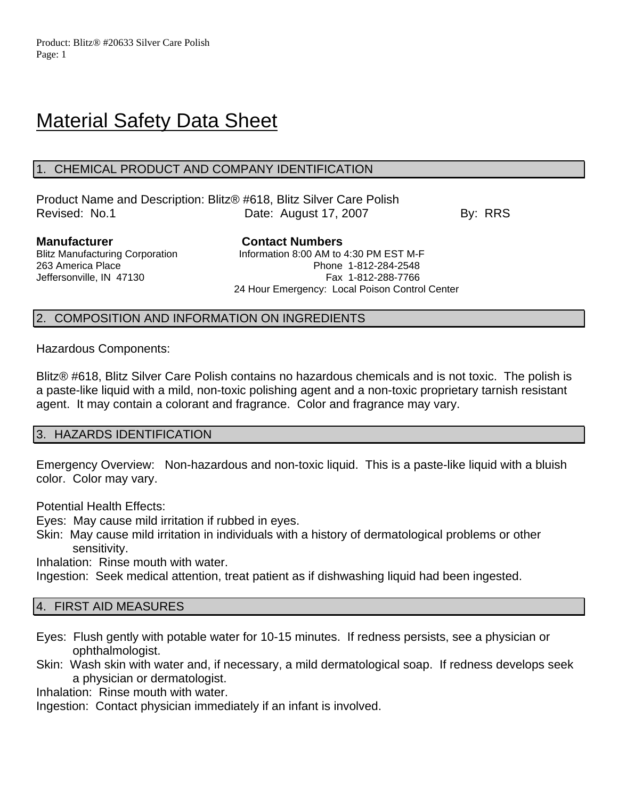# **Material Safety Data Sheet**

## 1. CHEMICAL PRODUCT AND COMPANY IDENTIFICATION

Product Name and Description: Blitz® #618, Blitz Silver Care Polish Revised: No.1 **Date: August 17, 2007** By: RRS

**Manufacturer Contact Numbers** Blitz Manufacturing Corporation Information 8:00 AM to 4:30 PM EST M-F 263 America Place Phone 1-812-284-2548 Jeffersonville, IN 47130 Fax 1-812-288-7766 24 Hour Emergency: Local Poison Control Center

## 2. COMPOSITION AND INFORMATION ON INGREDIENTS

Hazardous Components:

Blitz® #618, Blitz Silver Care Polish contains no hazardous chemicals and is not toxic. The polish is a paste-like liquid with a mild, non-toxic polishing agent and a non-toxic proprietary tarnish resistant agent. It may contain a colorant and fragrance. Color and fragrance may vary.

## 3. HAZARDS IDENTIFICATION

Emergency Overview: Non-hazardous and non-toxic liquid. This is a paste-like liquid with a bluish color. Color may vary.

Potential Health Effects:

Eyes: May cause mild irritation if rubbed in eyes.

Skin: May cause mild irritation in individuals with a history of dermatological problems or other sensitivity.

Inhalation: Rinse mouth with water.

Ingestion: Seek medical attention, treat patient as if dishwashing liquid had been ingested.

## 4. FIRST AID MEASURES

- Eyes: Flush gently with potable water for 10-15 minutes. If redness persists, see a physician or ophthalmologist.
- Skin: Wash skin with water and, if necessary, a mild dermatological soap. If redness develops seek a physician or dermatologist.

Inhalation: Rinse mouth with water.

Ingestion: Contact physician immediately if an infant is involved.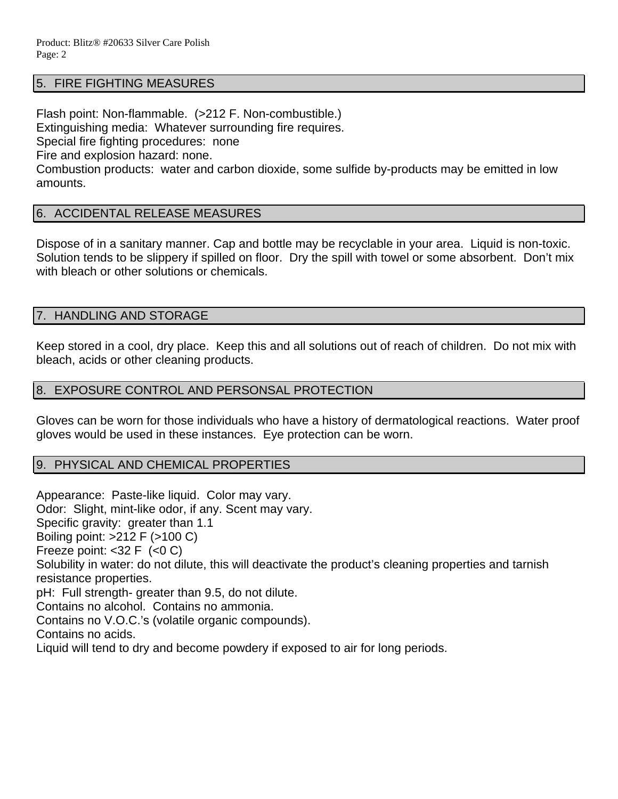## 5. FIRE FIGHTING MEASURES

Flash point: Non-flammable. (>212 F. Non-combustible.) Extinguishing media: Whatever surrounding fire requires. Special fire fighting procedures: none Fire and explosion hazard: none. Combustion products: water and carbon dioxide, some sulfide by-products may be emitted in low amounts.

## 6. ACCIDENTAL RELEASE MEASURES

Dispose of in a sanitary manner. Cap and bottle may be recyclable in your area. Liquid is non-toxic. Solution tends to be slippery if spilled on floor. Dry the spill with towel or some absorbent. Don't mix with bleach or other solutions or chemicals.

## 7. HANDLING AND STORAGE

Keep stored in a cool, dry place. Keep this and all solutions out of reach of children. Do not mix with bleach, acids or other cleaning products.

#### 8. EXPOSURE CONTROL AND PERSONSAL PROTECTION

Gloves can be worn for those individuals who have a history of dermatological reactions. Water proof gloves would be used in these instances. Eye protection can be worn.

#### 9. PHYSICAL AND CHEMICAL PROPERTIES

Appearance: Paste-like liquid. Color may vary. Odor: Slight, mint-like odor, if any. Scent may vary. Specific gravity: greater than 1.1 Boiling point: >212 F (>100 C) Freeze point:  $<$ 32 F  $(<$ 0 C) Solubility in water: do not dilute, this will deactivate the product's cleaning properties and tarnish resistance properties. pH: Full strength- greater than 9.5, do not dilute. Contains no alcohol. Contains no ammonia. Contains no V.O.C.'s (volatile organic compounds). Contains no acids. Liquid will tend to dry and become powdery if exposed to air for long periods.